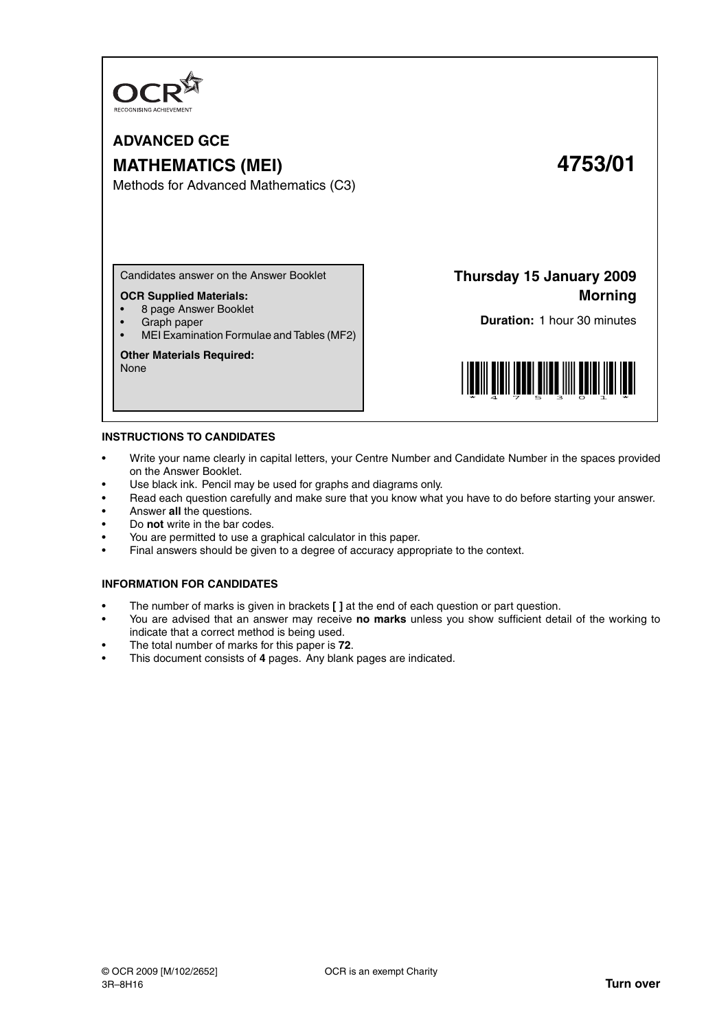

# **ADVANCED GCE MATHEMATICS (MEI) 4753/01**

Methods for Advanced Mathematics (C3)

Candidates answer on the Answer Booklet

## **OCR Supplied Materials:**

- 8 page Answer Booklet
- Graph paper
- MEI Examination Formulae and Tables (MF2)

#### **Other Materials Required:**

None

**Thursday 15 January 2009 Morning**

**Duration:** 1 hour 30 minutes



#### **INSTRUCTIONS TO CANDIDATES**

- Write your name clearly in capital letters, your Centre Number and Candidate Number in the spaces provided on the Answer Booklet.
- Use black ink. Pencil may be used for graphs and diagrams only.
- Read each question carefully and make sure that you know what you have to do before starting your answer.
- Answer **all** the questions.
- Do **not** write in the bar codes.
- You are permitted to use a graphical calculator in this paper.
- Final answers should be given to a degree of accuracy appropriate to the context.

#### **INFORMATION FOR CANDIDATES**

- The number of marks is given in brackets **[ ]** at the end of each question or part question.
- You are advised that an answer may receive **no marks** unless you show sufficient detail of the working to indicate that a correct method is being used.
- The total number of marks for this paper is **72**.
- This document consists of **4** pages. Any blank pages are indicated.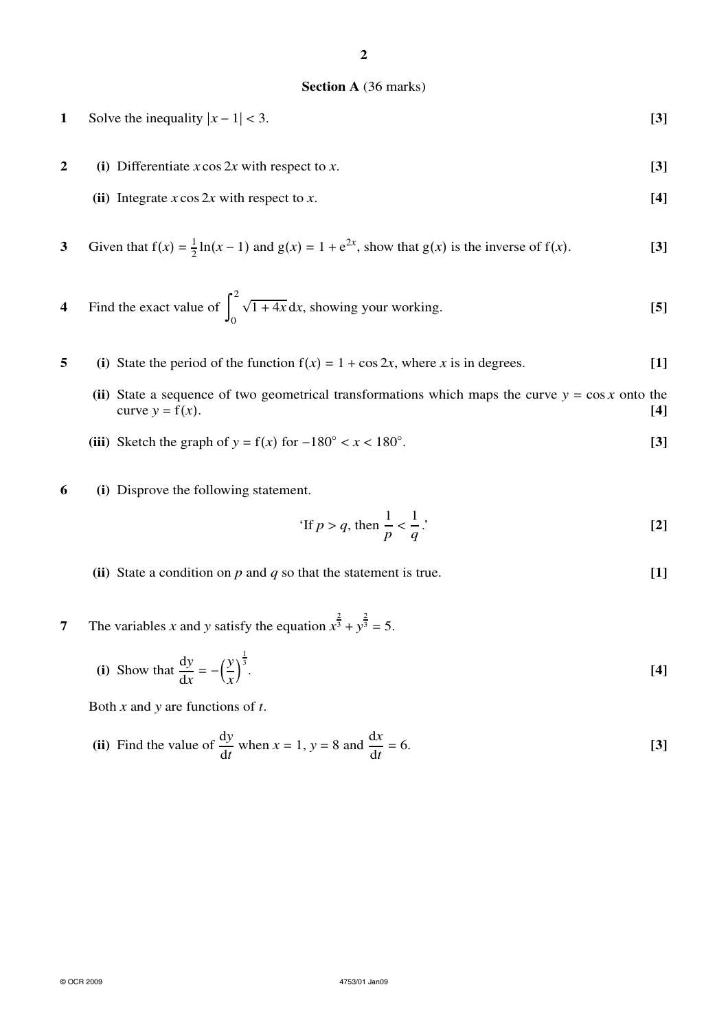## **Section A** (36 marks)

| Solve the inequality $ x-1  < 3$ . | $[3]$ |
|------------------------------------|-------|
|                                    |       |

- **2 (i)** Differentiate *x* cos 2*x* with respect to *x*. **[3]**
	- **(ii)** Integrate *x* cos 2*x* with respect to *x*. **[4]**

3 Given that 
$$
f(x) = \frac{1}{2} \ln(x - 1)
$$
 and  $g(x) = 1 + e^{2x}$ , show that  $g(x)$  is the inverse of  $f(x)$ . [3]

4 Find the exact value of 
$$
\int_0^2 \sqrt{1+4x} \, dx
$$
, showing your working. [5]

- **5** (i) State the period of the function  $f(x) = 1 + \cos 2x$ , where *x* is in degrees. [1]
	- (ii) State a sequence of two geometrical transformations which maps the curve  $y = \cos x$  onto the curve  $y = f(x)$ . curve  $y = f(x)$ .
	- (iii) Sketch the graph of  $y = f(x)$  for  $-180^\circ < x < 180^\circ$ . . **[3]**
- **6 (i)** Disprove the following statement.

'If 
$$
p > q
$$
, then  $\frac{1}{p} < \frac{1}{q}$ .'

- **(ii)** State a condition on *p* and *q* so that the statement is true. **[1]**
- **7** The variables *x* and *y* satisfy the equation  $x^{\frac{2}{3}} + y^{\frac{2}{3}} = 5$ .

(i) Show that 
$$
\frac{dy}{dx} = -\left(\frac{y}{x}\right)^{\frac{1}{3}}
$$
.

Both *x* and *y* are functions of *t*.

(ii) Find the value of 
$$
\frac{dy}{dt}
$$
 when  $x = 1$ ,  $y = 8$  and  $\frac{dx}{dt} = 6$ . [3]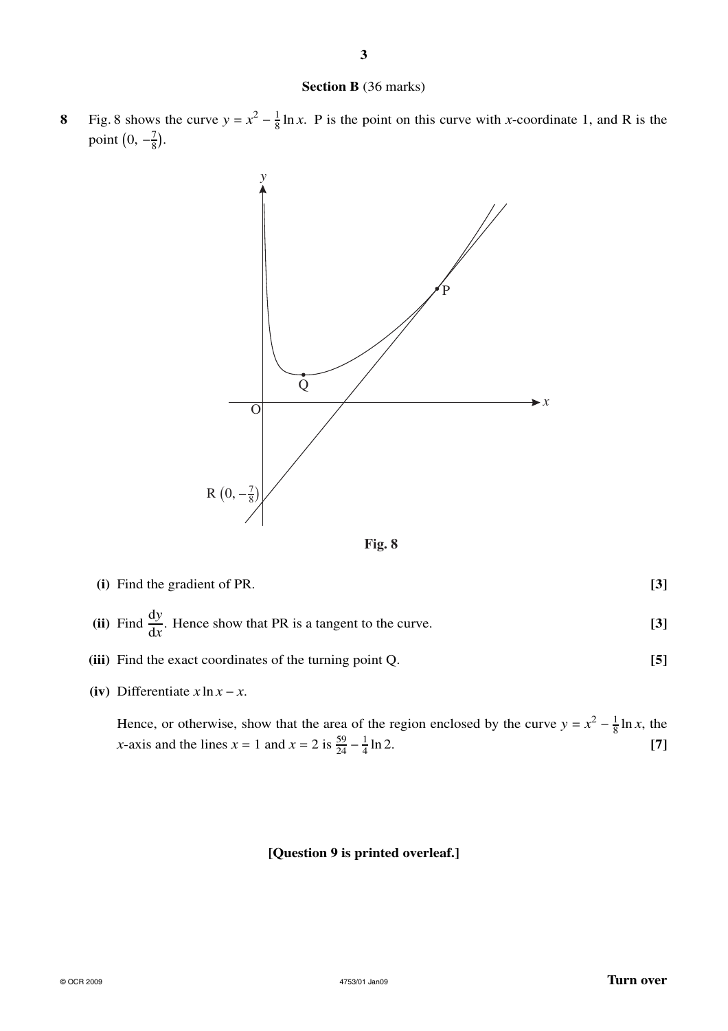### **Section B** (36 marks)

**3**

**8** Fig. 8 shows the curve  $y = x^2 - \frac{1}{8}$  $\frac{1}{8}$  ln *x*. P is the point on this curve with *x*-coordinate 1, and R is the point  $\left(0, -\frac{7}{8}\right)$  $\frac{7}{8}$ .





- **(i)** Find the gradient of PR. **[3]**
- (ii) Find  $\frac{dy}{dx}$ . Hence show that PR is a tangent to the curve. **[3]**
- **(iii)** Find the exact coordinates of the turning point Q. **[5]**
- **(iv)** Differentiate  $x \ln x x$ .

Hence, or otherwise, show that the area of the region enclosed by the curve  $y = x^2 - \frac{1}{8}$  $\frac{1}{8} \ln x$ , the *x*-axis and the lines  $x = 1$  and  $x = 2$  is  $\frac{59}{24} - \frac{1}{4}$ 4 ln 2. **[7]**

## **[Question 9 is printed overleaf.]**